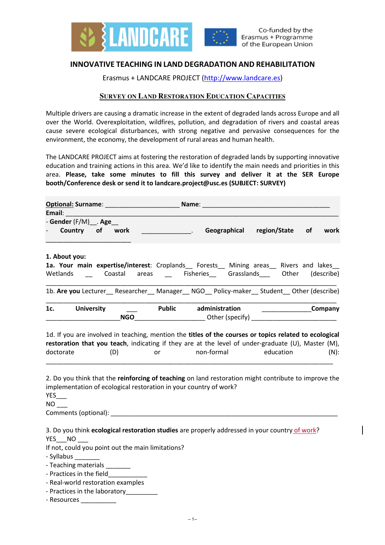

## **INNOVATIVE TEACHING IN LAND DEGRADATION AND REHABILITATION**

Erasmus + LANDCARE PROJECT (http://www.landcare.es)

## **SURVEY ON LAND RESTORATION EDUCATION CAPACITIES**

Multiple drivers are causing a dramatic increase in the extent of degraded lands across Europe and all over the World. Overexploitation, wildfires, pollution, and degradation of rivers and coastal areas cause severe ecological disturbances, with strong negative and pervasive consequences for the environment, the economy, the development of rural areas and human health.

The LANDCARE PROJECT aims at fostering the restoration of degraded lands by supporting innovative education and training actions in this area. We'd like to identify the main needs and priorities in this area. **Please, take some minutes to fill this survey and deliver it at the SER Europe booth/Conference desk or send it to landcare.project@usc.es (SUBJECT: SURVEY)**

| Email: Email:                                                                                                                                                                                                                                                                                                                                                      |                                                                                  |                              |                                |         |
|--------------------------------------------------------------------------------------------------------------------------------------------------------------------------------------------------------------------------------------------------------------------------------------------------------------------------------------------------------------------|----------------------------------------------------------------------------------|------------------------------|--------------------------------|---------|
| - Gender (F/M) __ . Age                                                                                                                                                                                                                                                                                                                                            |                                                                                  |                              |                                |         |
| Country<br>of work                                                                                                                                                                                                                                                                                                                                                 | <b>Contract Contract Contract</b>                                                |                              | Geographical region/State      | of work |
| 1. About you:<br>1a. Your main expertise/interest: Croplands_ Forests_ Mining areas_ Rivers and lakes_                                                                                                                                                                                                                                                             |                                                                                  |                              |                                |         |
| Wetlands<br>Coastal                                                                                                                                                                                                                                                                                                                                                | areas __ Fisheries Grasslands __ Other (describe)                                |                              |                                |         |
| 1b. Are you Lecturer Researcher Manager NGO Policy-maker Student Other (describe)                                                                                                                                                                                                                                                                                  |                                                                                  |                              |                                |         |
| <b>University</b><br>1c.                                                                                                                                                                                                                                                                                                                                           | MGO_____________________________Other (specify) ________________________________ | <b>Public</b> administration | _______________________Company |         |
| 1d. If you are involved in teaching, mention the titles of the courses or topics related to ecological<br>restoration that you teach, indicating if they are at the level of under-graduate (U), Master (M),<br>doctorate<br>(D)                                                                                                                                   | or                                                                               | non-formal                   | education                      | $(N)$ : |
| 2. Do you think that the reinforcing of teaching on land restoration might contribute to improve the<br>implementation of ecological restoration in your country of work?<br>YES<br>$NO$ <sub>___</sub><br>Comments (optional): Note that the comments of the contract of the contract of the contract of the contract of                                          |                                                                                  |                              |                                |         |
| 3. Do you think ecological restoration studies are properly addressed in your country of work?<br>YES NO<br>If not, could you point out the main limitations?<br>- Syllabus _______<br>- Teaching materials _______<br>- Practices in the field <b>Fractional</b><br>- Real-world restoration examples<br>- Practices in the laboratory<br>- Resources ___________ |                                                                                  |                              |                                |         |